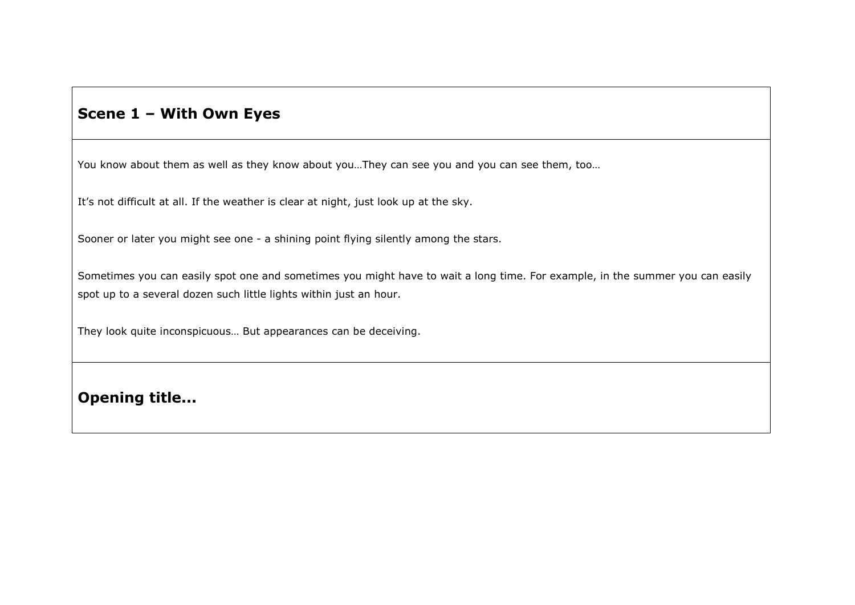# **Scene 1 – With Own Eyes**

You know about them as well as they know about you...They can see you and you can see them, too...

It's not difficult at all. If the weather is clear at night, just look up at the sky.

Sooner or later you might see one - a shining point flying silently among the stars.

Sometimes you can easily spot one and sometimes you might have to wait a long time. For example, in the summer you can easily spot up to a several dozen such little lights within just an hour.

They look quite inconspicuous… But appearances can be deceiving.

**Opening title...**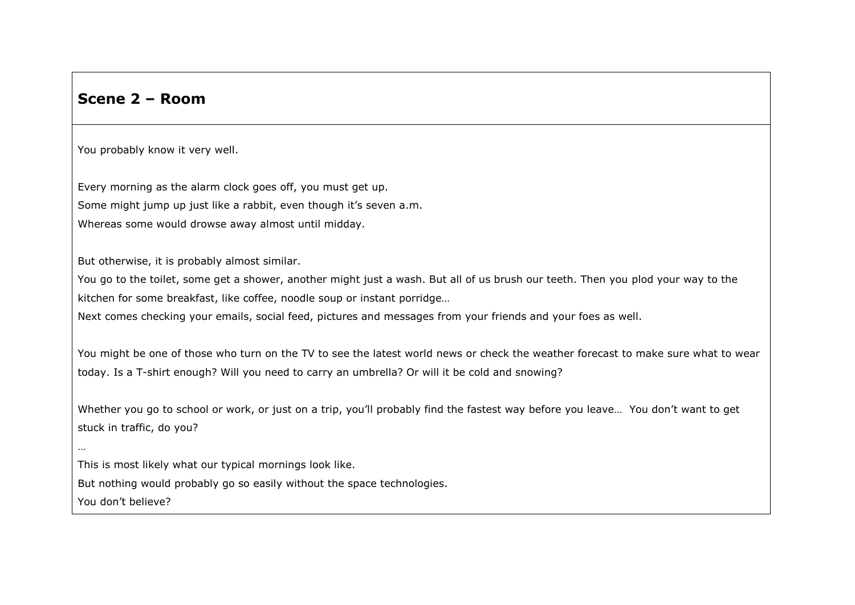## **Scene 2 – Room**

You probably know it very well.

Every morning as the alarm clock goes off, you must get up. Some might jump up just like a rabbit, even though it's seven a.m. Whereas some would drowse away almost until midday.

But otherwise, it is probably almost similar.

You go to the toilet, some get a shower, another might just a wash. But all of us brush our teeth. Then you plod your way to the kitchen for some breakfast, like coffee, noodle soup or instant porridge…

Next comes checking your emails, social feed, pictures and messages from your friends and your foes as well.

You might be one of those who turn on the TV to see the latest world news or check the weather forecast to make sure what to wear today. Is a T-shirt enough? Will you need to carry an umbrella? Or will it be cold and snowing?

Whether you go to school or work, or just on a trip, you'll probably find the fastest way before you leave… You don't want to get stuck in traffic, do you?

This is most likely what our typical mornings look like.

But nothing would probably go so easily without the space technologies.

You don't believe?

…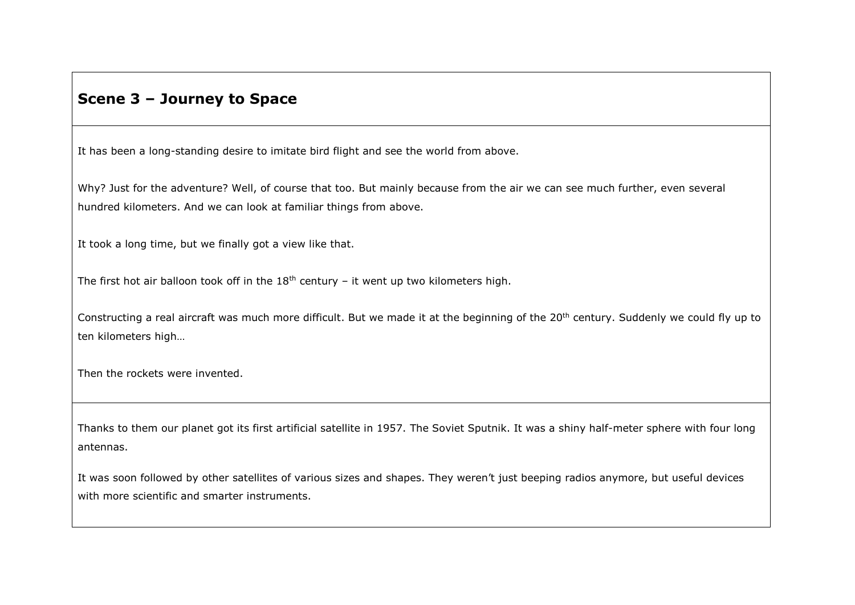### **Scene 3 – Journey to Space**

It has been a long-standing desire to imitate bird flight and see the world from above.

Why? Just for the adventure? Well, of course that too. But mainly because from the air we can see much further, even several hundred kilometers. And we can look at familiar things from above.

It took a long time, but we finally got a view like that.

The first hot air balloon took off in the  $18<sup>th</sup>$  century – it went up two kilometers high.

Constructing a real aircraft was much more difficult. But we made it at the beginning of the 20<sup>th</sup> century. Suddenly we could fly up to ten kilometers high…

Then the rockets were invented.

Thanks to them our planet got its first artificial satellite in 1957. The Soviet Sputnik. It was a shiny half-meter sphere with four long antennas.

It was soon followed by other satellites of various sizes and shapes. They weren't just beeping radios anymore, but useful devices with more scientific and smarter instruments.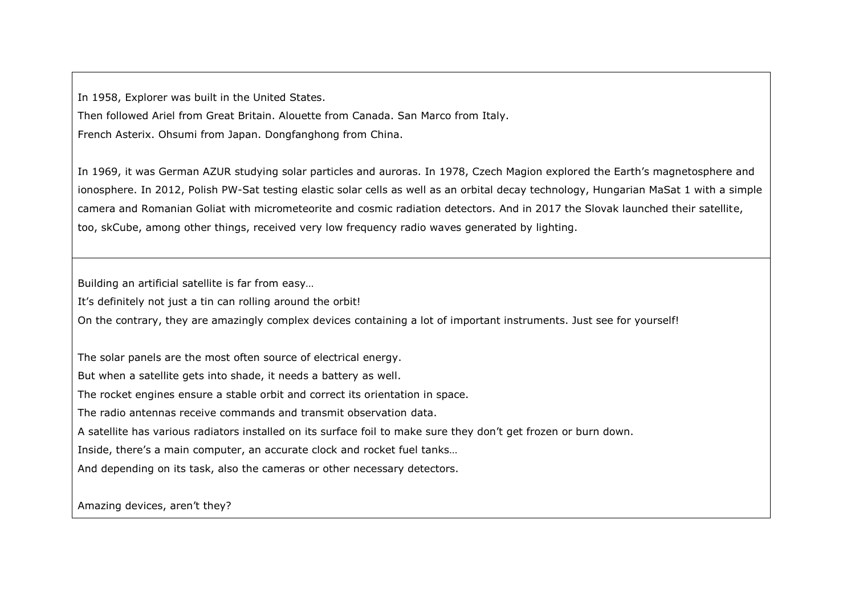In 1958, Explorer was built in the United States.

Then followed Ariel from Great Britain. Alouette from Canada. San Marco from Italy.

French Asterix. Ohsumi from Japan. Dongfanghong from China.

In 1969, it was German AZUR studying solar particles and auroras. In 1978, Czech Magion explored the Earth's magnetosphere and ionosphere. In 2012, Polish PW-Sat testing elastic solar cells as well as an orbital decay technology, Hungarian MaSat 1 with a simple camera and Romanian Goliat with micrometeorite and cosmic radiation detectors. And in 2017 the Slovak launched their satellite, too, skCube, among other things, received very low frequency radio waves generated by lighting.

Building an artificial satellite is far from easy…

It's definitely not just a tin can rolling around the orbit!

On the contrary, they are amazingly complex devices containing a lot of important instruments. Just see for yourself!

The solar panels are the most often source of electrical energy.

But when a satellite gets into shade, it needs a battery as well.

The rocket engines ensure a stable orbit and correct its orientation in space.

The radio antennas receive commands and transmit observation data.

A satellite has various radiators installed on its surface foil to make sure they don't get frozen or burn down.

Inside, there's a main computer, an accurate clock and rocket fuel tanks…

And depending on its task, also the cameras or other necessary detectors.

Amazing devices, aren't they?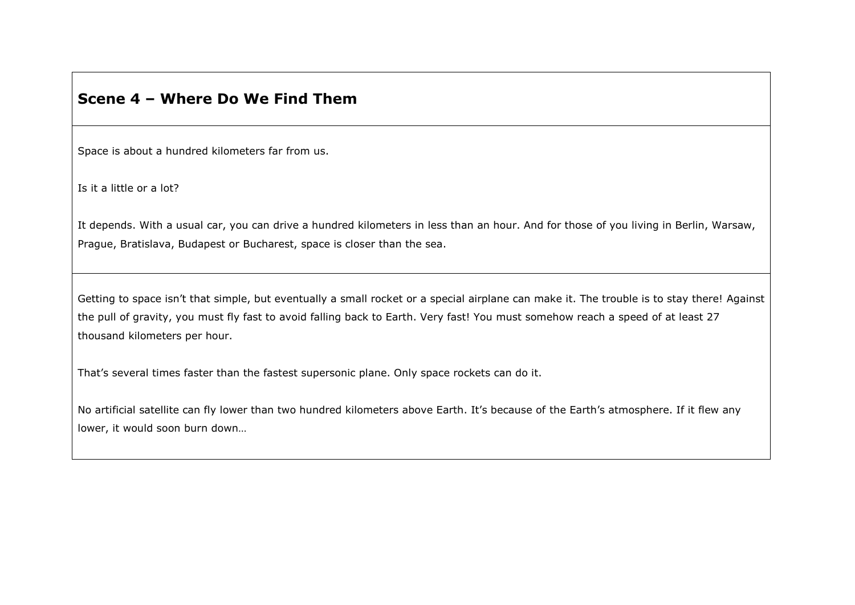#### **Scene 4 – Where Do We Find Them**

Space is about a hundred kilometers far from us.

Is it a little or a lot?

It depends. With a usual car, you can drive a hundred kilometers in less than an hour. And for those of you living in Berlin, Warsaw, Prague, Bratislava, Budapest or Bucharest, space is closer than the sea.

Getting to space isn't that simple, but eventually a small rocket or a special airplane can make it. The trouble is to stay there! Against the pull of gravity, you must fly fast to avoid falling back to Earth. Very fast! You must somehow reach a speed of at least 27 thousand kilometers per hour.

That's several times faster than the fastest supersonic plane. Only space rockets can do it.

No artificial satellite can fly lower than two hundred kilometers above Earth. It's because of the Earth's atmosphere. If it flew any lower, it would soon burn down…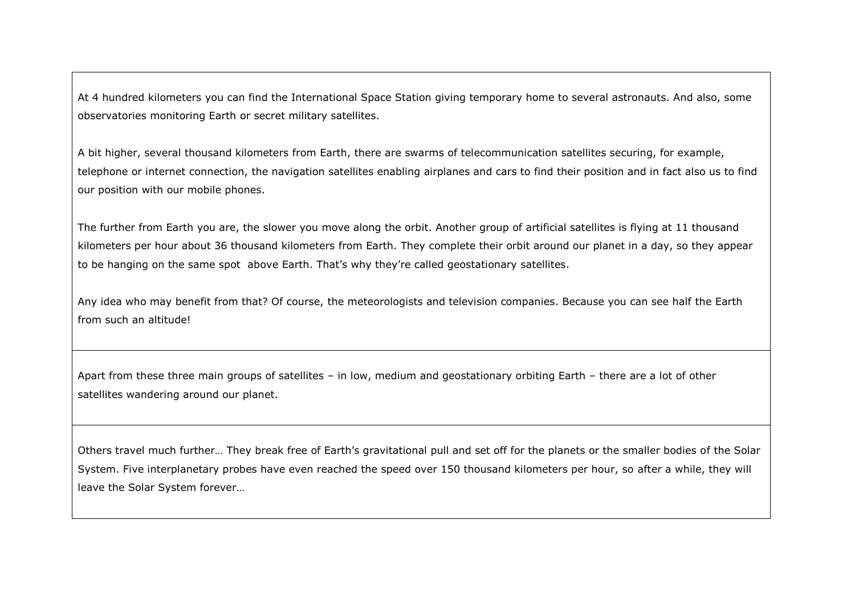At 4 hundred kilometers you can find the International Space Station giving temporary home to several astronauts. And also, some observatories monitoring Earth or secret military satellites.

A bit higher, several thousand kilometers from Earth, there are swarms of telecommunication satellites securing, for example, telephone or internet connection, the navigation satellites enabling airplanes and cars to find their position and in fact also us to find our position with our mobile phones.

The further from Earth you are, the slower you move along the orbit. Another group of artificial satellites is flying at 11 thousand kilometers per hour about 36 thousand kilometers from Earth. They complete their orbit around our planet in a day, so they appear to be hanging on the same spot above Earth. That's why they're called geostationary satellites.

Any idea who may benefit from that? Of course, the meteorologists and television companies. Because you can see half the Earth from such an altitude!

Apart from these three main groups of satellites – in low, medium and geostationary orbiting Earth – there are a lot of other satellites wandering around our planet.

Others travel much further… They break free of Earth's gravitational pull and set off for the planets or the smaller bodies of the Solar System. Five interplanetary probes have even reached the speed over 150 thousand kilometers per hour, so after a while, they will leave the Solar System forever…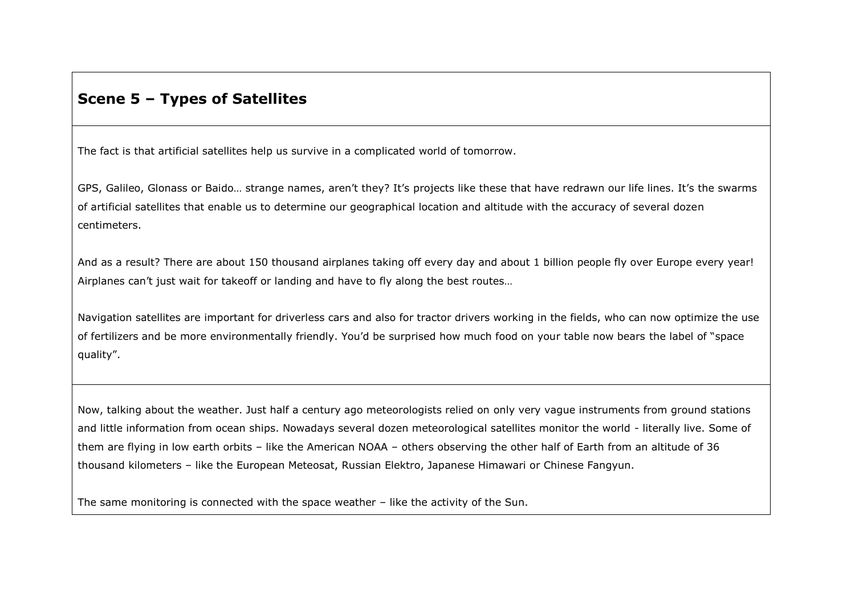## **Scene 5 – Types of Satellites**

The fact is that artificial satellites help us survive in a complicated world of tomorrow.

GPS, Galileo, Glonass or Baido… strange names, aren't they? It's projects like these that have redrawn our life lines. It's the swarms of artificial satellites that enable us to determine our geographical location and altitude with the accuracy of several dozen centimeters.

And as a result? There are about 150 thousand airplanes taking off every day and about 1 billion people fly over Europe every year! Airplanes can't just wait for takeoff or landing and have to fly along the best routes…

Navigation satellites are important for driverless cars and also for tractor drivers working in the fields, who can now optimize the use of fertilizers and be more environmentally friendly. You'd be surprised how much food on your table now bears the label of "space quality".

Now, talking about the weather. Just half a century ago meteorologists relied on only very vague instruments from ground stations and little information from ocean ships. Nowadays several dozen meteorological satellites monitor the world - literally live. Some of them are flying in low earth orbits – like the American NOAA – others observing the other half of Earth from an altitude of 36 thousand kilometers – like the European Meteosat, Russian Elektro, Japanese Himawari or Chinese Fangyun.

The same monitoring is connected with the space weather – like the activity of the Sun.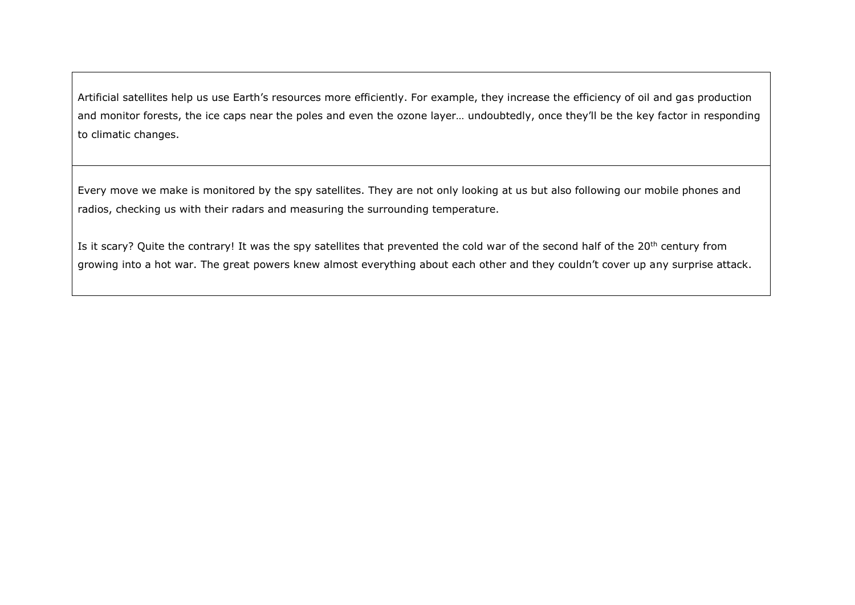Artificial satellites help us use Earth's resources more efficiently. For example, they increase the efficiency of oil and gas production and monitor forests, the ice caps near the poles and even the ozone layer… undoubtedly, once they'll be the key factor in responding to climatic changes.

Every move we make is monitored by the spy satellites. They are not only looking at us but also following our mobile phones and radios, checking us with their radars and measuring the surrounding temperature.

Is it scary? Quite the contrary! It was the spy satellites that prevented the cold war of the second half of the 20<sup>th</sup> century from growing into a hot war. The great powers knew almost everything about each other and they couldn't cover up any surprise attack.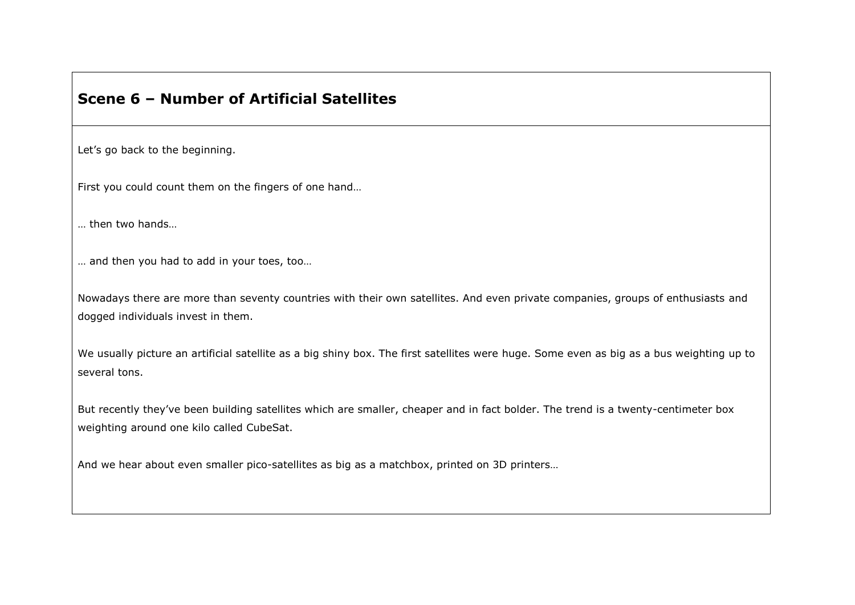### **Scene 6 – Number of Artificial Satellites**

Let's go back to the beginning.

First you could count them on the fingers of one hand…

… then two hands…

… and then you had to add in your toes, too…

Nowadays there are more than seventy countries with their own satellites. And even private companies, groups of enthusiasts and dogged individuals invest in them.

We usually picture an artificial satellite as a big shiny box. The first satellites were huge. Some even as big as a bus weighting up to several tons.

But recently they've been building satellites which are smaller, cheaper and in fact bolder. The trend is a twenty-centimeter box weighting around one kilo called CubeSat.

And we hear about even smaller pico-satellites as big as a matchbox, printed on 3D printers…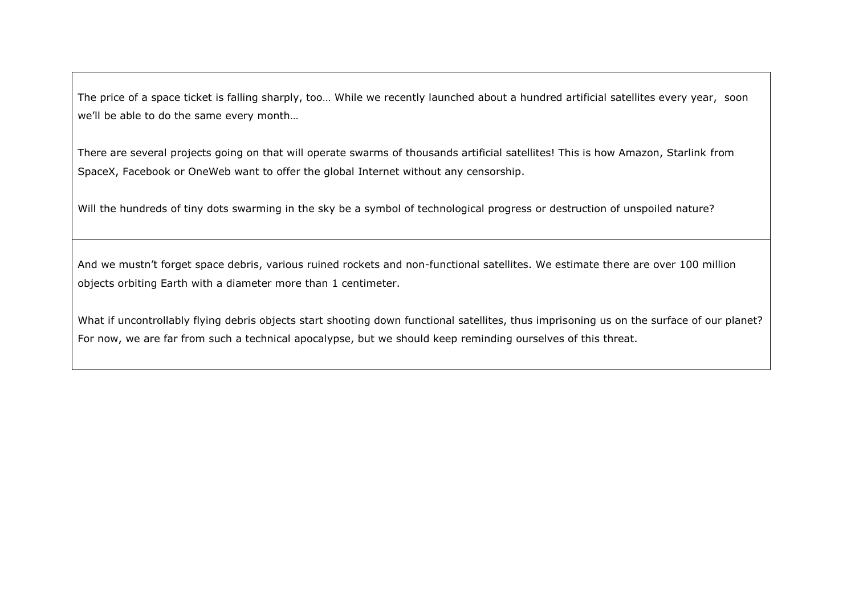The price of a space ticket is falling sharply, too… While we recently launched about a hundred artificial satellites every year, soon we'll be able to do the same every month…

There are several projects going on that will operate swarms of thousands artificial satellites! This is how Amazon, Starlink from SpaceX, Facebook or OneWeb want to offer the global Internet without any censorship.

Will the hundreds of tiny dots swarming in the sky be a symbol of technological progress or destruction of unspoiled nature?

And we mustn't forget space debris, various ruined rockets and non-functional satellites. We estimate there are over 100 million objects orbiting Earth with a diameter more than 1 centimeter.

What if uncontrollably flying debris objects start shooting down functional satellites, thus imprisoning us on the surface of our planet? For now, we are far from such a technical apocalypse, but we should keep reminding ourselves of this threat.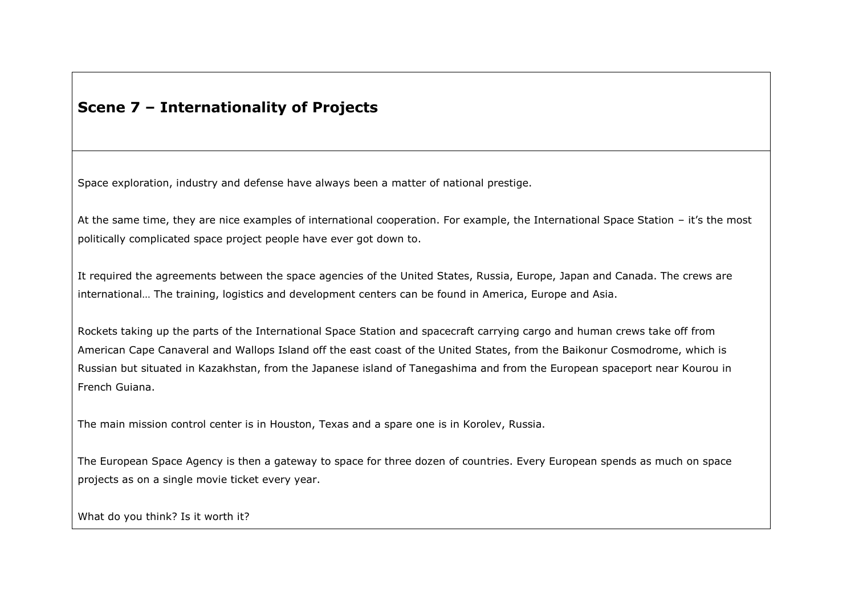## **Scene 7 – Internationality of Projects**

Space exploration, industry and defense have always been a matter of national prestige.

At the same time, they are nice examples of international cooperation. For example, the International Space Station – it's the most politically complicated space project people have ever got down to.

It required the agreements between the space agencies of the United States, Russia, Europe, Japan and Canada. The crews are international… The training, logistics and development centers can be found in America, Europe and Asia.

Rockets taking up the parts of the International Space Station and spacecraft carrying cargo and human crews take off from American Cape Canaveral and Wallops Island off the east coast of the United States, from the Baikonur Cosmodrome, which is Russian but situated in Kazakhstan, from the Japanese island of Tanegashima and from the European spaceport near Kourou in French Guiana.

The main mission control center is in Houston, Texas and a spare one is in Korolev, Russia.

The European Space Agency is then a gateway to space for three dozen of countries. Every European spends as much on space projects as on a single movie ticket every year.

What do you think? Is it worth it?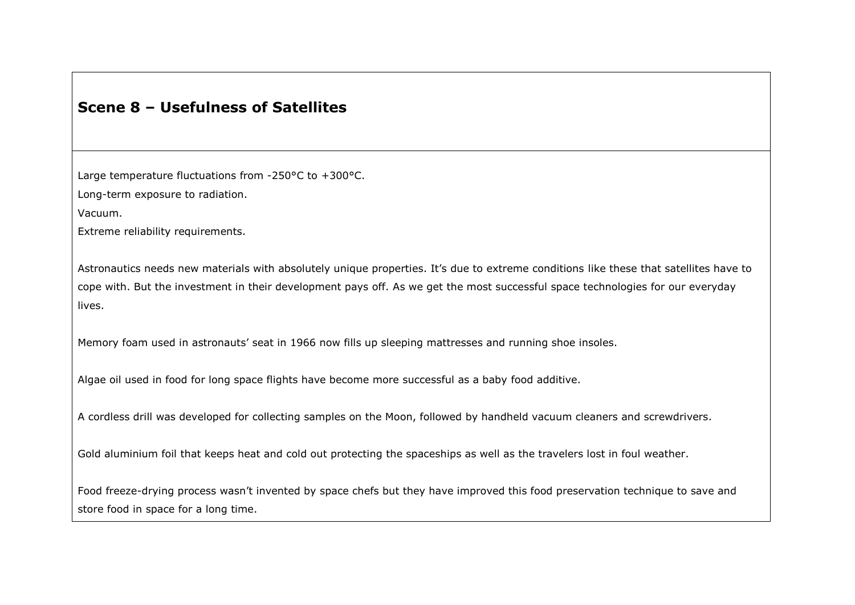## **Scene 8 – Usefulness of Satellites**

Large temperature fluctuations from -250°C to +300°C.

Long-term exposure to radiation.

Vacuum.

Extreme reliability requirements.

Astronautics needs new materials with absolutely unique properties. It's due to extreme conditions like these that satellites have to cope with. But the investment in their development pays off. As we get the most successful space technologies for our everyday lives.

Memory foam used in astronauts' seat in 1966 now fills up sleeping mattresses and running shoe insoles.

Algae oil used in food for long space flights have become more successful as a baby food additive.

A cordless drill was developed for collecting samples on the Moon, followed by handheld vacuum cleaners and screwdrivers.

Gold aluminium foil that keeps heat and cold out protecting the spaceships as well as the travelers lost in foul weather.

Food freeze-drying process wasn't invented by space chefs but they have improved this food preservation technique to save and store food in space for a long time.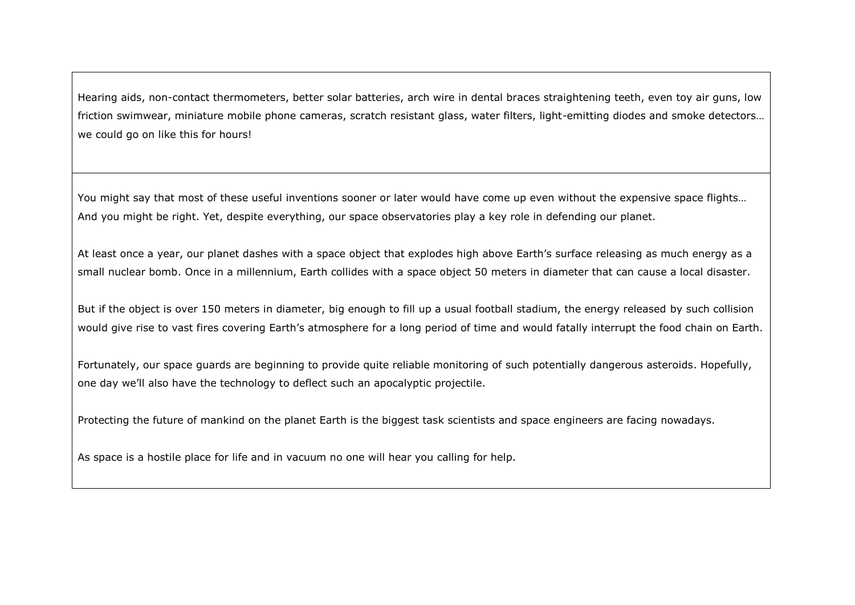Hearing aids, non-contact thermometers, better solar batteries, arch wire in dental braces straightening teeth, even toy air guns, low friction swimwear, miniature mobile phone cameras, scratch resistant glass, water filters, light-emitting diodes and smoke detectors… we could go on like this for hours!

You might say that most of these useful inventions sooner or later would have come up even without the expensive space flights… And you might be right. Yet, despite everything, our space observatories play a key role in defending our planet.

At least once a year, our planet dashes with a space object that explodes high above Earth's surface releasing as much energy as a small nuclear bomb. Once in a millennium, Earth collides with a space object 50 meters in diameter that can cause a local disaster.

But if the object is over 150 meters in diameter, big enough to fill up a usual football stadium, the energy released by such collision would give rise to vast fires covering Earth's atmosphere for a long period of time and would fatally interrupt the food chain on Earth.

Fortunately, our space guards are beginning to provide quite reliable monitoring of such potentially dangerous asteroids. Hopefully, one day we'll also have the technology to deflect such an apocalyptic projectile.

Protecting the future of mankind on the planet Earth is the biggest task scientists and space engineers are facing nowadays.

As space is a hostile place for life and in vacuum no one will hear you calling for help.